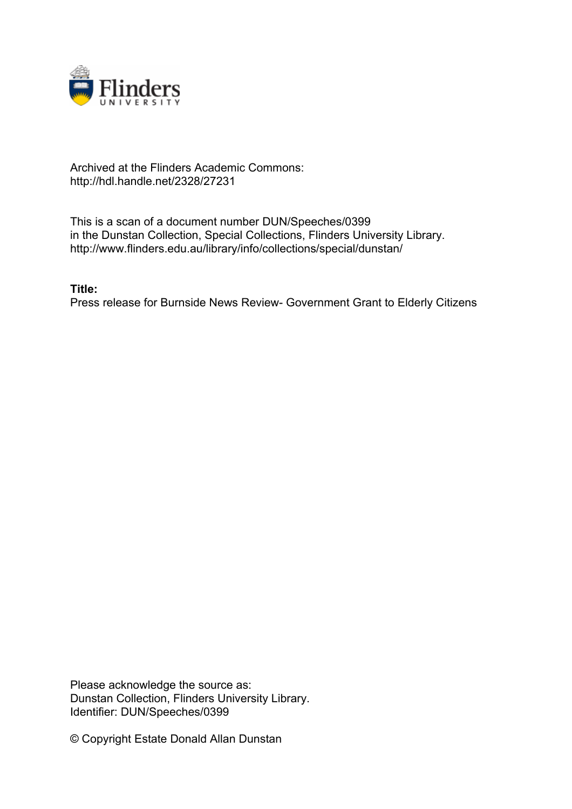

## Archived at the Flinders Academic Commons: http://hdl.handle.net/2328/27231

This is a scan of a document number DUN/Speeches/0399 in the Dunstan Collection, Special Collections, Flinders University Library. http://www.flinders.edu.au/library/info/collections/special/dunstan/

**Title:**

Press release for Burnside News Review- Government Grant to Elderly Citizens

Please acknowledge the source as: Dunstan Collection, Flinders University Library. Identifier: DUN/Speeches/0399

© Copyright Estate Donald Allan Dunstan